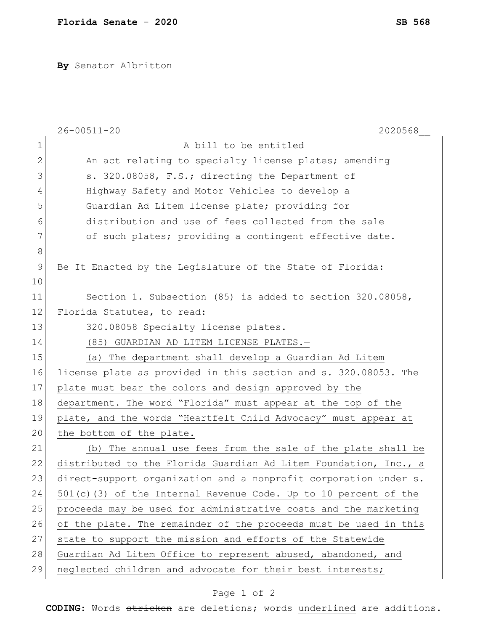**By** Senator Albritton

| A bill to be entitled<br>1<br>2<br>An act relating to specialty license plates; amending<br>3<br>s. 320.08058, F.S.; directing the Department of<br>Highway Safety and Motor Vehicles to develop a<br>4<br>5<br>Guardian Ad Litem license plate; providing for |  |
|----------------------------------------------------------------------------------------------------------------------------------------------------------------------------------------------------------------------------------------------------------------|--|
|                                                                                                                                                                                                                                                                |  |
|                                                                                                                                                                                                                                                                |  |
|                                                                                                                                                                                                                                                                |  |
|                                                                                                                                                                                                                                                                |  |
|                                                                                                                                                                                                                                                                |  |
| distribution and use of fees collected from the sale<br>6                                                                                                                                                                                                      |  |
| 7<br>of such plates; providing a contingent effective date.                                                                                                                                                                                                    |  |
| $8\,$                                                                                                                                                                                                                                                          |  |
| 9<br>Be It Enacted by the Legislature of the State of Florida:                                                                                                                                                                                                 |  |
| 10                                                                                                                                                                                                                                                             |  |
| Section 1. Subsection (85) is added to section 320.08058,<br>11                                                                                                                                                                                                |  |
| 12<br>Florida Statutes, to read:                                                                                                                                                                                                                               |  |
| 13<br>320.08058 Specialty license plates.-                                                                                                                                                                                                                     |  |
| 14<br>(85) GUARDIAN AD LITEM LICENSE PLATES.-                                                                                                                                                                                                                  |  |
| 15<br>(a) The department shall develop a Guardian Ad Litem                                                                                                                                                                                                     |  |
| 16<br>license plate as provided in this section and s. 320.08053. The                                                                                                                                                                                          |  |
| 17<br>plate must bear the colors and design approved by the                                                                                                                                                                                                    |  |
| 18<br>department. The word "Florida" must appear at the top of the                                                                                                                                                                                             |  |
| 19<br>plate, and the words "Heartfelt Child Advocacy" must appear at                                                                                                                                                                                           |  |
| 20<br>the bottom of the plate.                                                                                                                                                                                                                                 |  |
| 21<br>The annual use fees from the sale of the plate shall be<br>(b)                                                                                                                                                                                           |  |
| 22<br>distributed to the Florida Guardian Ad Litem Foundation, Inc., a                                                                                                                                                                                         |  |
| 23<br>direct-support organization and a nonprofit corporation under s.                                                                                                                                                                                         |  |
| 24<br>501(c)(3) of the Internal Revenue Code. Up to 10 percent of the                                                                                                                                                                                          |  |
| 25<br>proceeds may be used for administrative costs and the marketing                                                                                                                                                                                          |  |
| 26<br>of the plate. The remainder of the proceeds must be used in this                                                                                                                                                                                         |  |
| 27<br>state to support the mission and efforts of the Statewide                                                                                                                                                                                                |  |
| 28<br>Guardian Ad Litem Office to represent abused, abandoned, and                                                                                                                                                                                             |  |
| 29<br>neglected children and advocate for their best interests;                                                                                                                                                                                                |  |

## Page 1 of 2

**CODING**: Words stricken are deletions; words underlined are additions.